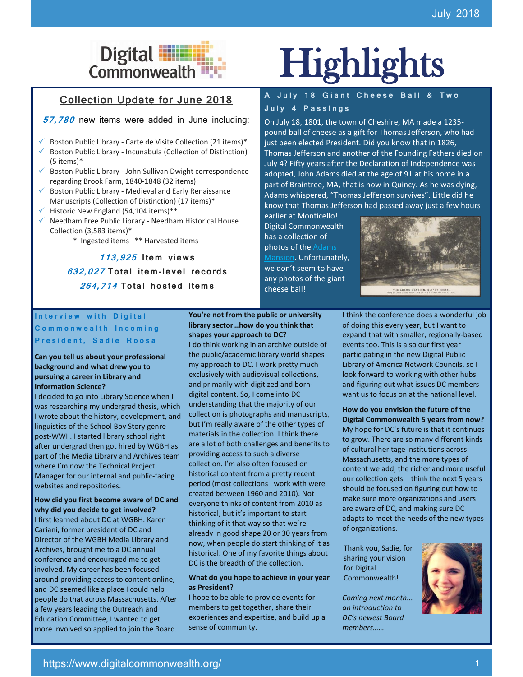## Collection Update for June 2018

**57,780** new items were added in June including:

- Boston Public Library Carte de Visite Collection (21 items)\*
- Boston Public Library Incunabula (Collection of Distinction) (5 items)\*
- Boston Public Library John Sullivan Dwight correspondence regarding Brook Farm, 1840-1848 (32 items)
- Boston Public Library Medieval and Early Renaissance Manuscripts (Collection of Distinction) (17 items)\*
- Historic New England (54,104 items)\*\*
- ✓ Needham Free Public Library Needham Historical House Collection (3,583 items)\*
	- \* Ingested items \*\* Harvested items

**113,925 I tem** v**iew s 632,027 To tal i tem-le vel re co rds 264,714 To tal ho s ted i tem s**

### Interview with Digital **Commonwealth Incoming** President, Sadie Roosa

### **Can you tell us about your professional background and what drew you to pursuing a career in Library and Information Science?**

I decided to go into Library Science when I was researching my undergrad thesis, which I wrote about the history, development, and linguistics of the School Boy Story genre post-WWII. I started library school right after undergrad then got hired by WGBH as part of the Media Library and Archives team where I'm now the Technical Project Manager for our internal and public-facing websites and repositories.

**How did you first become aware of DC and why did you decide to get involved?**  I first learned about DC at WGBH. Karen Cariani, former president of DC and Director of the WGBH Media Library and Archives, brought me to a DC annual conference and encouraged me to get involved. My career has been focused around providing access to content online, and DC seemed like a place I could help people do that across Massachusetts. After a few years leading the Outreach and Education Committee, I wanted to get more involved so applied to join the Board.

**You're not from the public or university library sector…how do you think that shapes your approach to DC?**

I do think working in an archive outside of the public/academic library world shapes my approach to DC. I work pretty much exclusively with audiovisual collections, and primarily with digitized and borndigital content. So, I come into DC understanding that the majority of our collection is photographs and manuscripts, but I'm really aware of the other types of materials in the collection. I think there are a lot of both challenges and benefits to providing access to such a diverse collection. I'm also often focused on historical content from a pretty recent period (most collections I work with were created between 1960 and 2010). Not everyone thinks of content from 2010 as historical, but it's important to start thinking of it that way so that we're already in good shape 20 or 30 years from now, when people do start thinking of it as historical. One of my favorite things about DC is the breadth of the collection.

### **What do you hope to achieve in your year as President?**

I hope to be able to provide events for members to get together, share their experiences and expertise, and build up a sense of community.

# Digital **Highlights**

## **A J u l y 1 8 G i a n t C h e e s e B a l l & T w o J u l y 4 P a s s i n g s**

On July 18, 1801, the town of Cheshire, MA made a 1235 pound ball of cheese as a gift for Thomas Jefferson, who had just been elected President. Did you know that in 1826, Thomas Jefferson and another of the Founding Fathers died on July 4? Fifty years after the Declaration of Independence was adopted, John Adams died at the age of 91 at his home in a part of Braintree, MA, that is now in Quincy. As he was dying, Adams whispered, "Thomas Jefferson survives". Little did he know that Thomas Jefferson had passed away just a few hours

earlier at Monticello! Digital Commonwealth has a collection of photos of th[e Adams](https://www.digitalcommonwealth.org/search?utf8=%E2%9C%93&q=adams+mansion+quincy&search_field=all_fields)  [Mansion.](https://www.digitalcommonwealth.org/search?utf8=%E2%9C%93&q=adams+mansion+quincy&search_field=all_fields) Unfortunately, we don't seem to have any photos of the giant cheese ball!



I think the conference does a wonderful job of doing this every year, but I want to expand that with smaller, regionally-based events too. This is also our first year participating in the new Digital Public Library of America Network Councils, so I look forward to working with other hubs and figuring out what issues DC members want us to focus on at the national level.

**How do you envision the future of the Digital Commonwealth 5 years from now?** My hope for DC's future is that it continues to grow. There are so many different kinds of cultural heritage institutions across Massachusetts, and the more types of content we add, the richer and more useful our collection gets. I think the next 5 years should be focused on figuring out how to make sure more organizations and users are aware of DC, and making sure DC adapts to meet the needs of the new types of organizations.

Thank you, Sadie, for sharing your vision for Digital Commonwealth!

*Coming next month... an introduction to DC's newest Board members……*